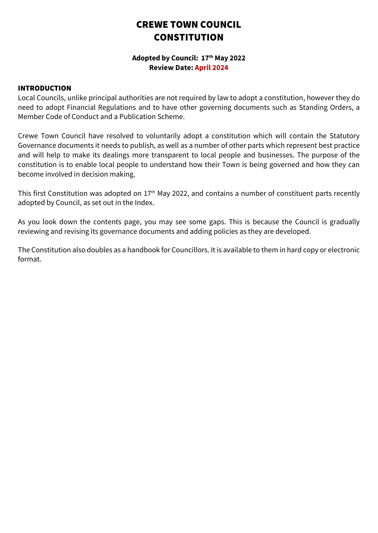# CREWE TOWN COUNCIL **CONSTITUTION**

#### **Adopted by Council: 17th May 2022 Review Date: April 2024**

#### INTRODUCTION

Local Councils, unlike principal authorities are not required by law to adopt a constitution, however they do need to adopt Financial Regulations and to have other governing documents such as Standing Orders, a Member Code of Conduct and a Publication Scheme.

Crewe Town Council have resolved to voluntarily adopt a constitution which will contain the Statutory Governance documents it needs to publish, as well as a number of other parts which represent best practice and will help to make its dealings more transparent to local people and businesses. The purpose of the constitution is to enable local people to understand how their Town is being governed and how they can become involved in decision making.

This first Constitution was adopted on 17<sup>th</sup> May 2022, and contains a number of constituent parts recently adopted by Council, as set out in the Index.

As you look down the contents page, you may see some gaps. This is because the Council is gradually reviewing and revising its governance documents and adding policies as they are developed.

The Constitution also doubles as a handbook for Councillors. It is available to them in hard copy or electronic format.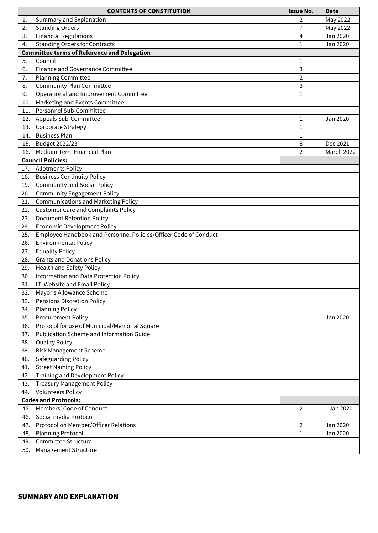| <b>CONTENTS OF CONSTITUTION</b> |                                                                  | <b>Issue No.</b> | <b>Date</b>       |
|---------------------------------|------------------------------------------------------------------|------------------|-------------------|
| 1.                              | Summary and Explanation                                          | 2                | May 2022          |
| 2.                              | <b>Standing Orders</b>                                           | 7                | May 2022          |
| 3.                              | <b>Financial Regulations</b>                                     | 4                | Jan 2020          |
| 4.                              | <b>Standing Orders for Contracts</b>                             | 1                | Jan 2020          |
|                                 | <b>Committee terms of Reference and Delegation</b>               |                  |                   |
| 5.                              | Council                                                          | 1                |                   |
| 6.                              | <b>Finance and Governance Committee</b>                          | 3                |                   |
| 7.                              | <b>Planning Committee</b>                                        | $\overline{2}$   |                   |
| 8.                              | <b>Community Plan Committee</b>                                  | 3                |                   |
| 9.                              | Operational and Improvement Committee                            | 1                |                   |
| 10.                             | Marketing and Events Committee                                   | 1                |                   |
| 11.                             | Personnel Sub-Committee                                          |                  |                   |
| 12.                             | Appeals Sub-Committee                                            | 1                | Jan 2020          |
| 13.                             | Corporate Strategy                                               | 1                |                   |
| 14.                             | <b>Business Plan</b>                                             | 1                |                   |
| 15.                             | Budget 2022/23                                                   | 8                | Dec 2021          |
| 16.                             | Medium Term Financial Plan                                       | 2                | <b>March 2022</b> |
| <b>Council Policies:</b>        |                                                                  |                  |                   |
| 17.                             | <b>Allotments Policy</b>                                         |                  |                   |
| 18.                             | <b>Business Continuity Policy</b>                                |                  |                   |
| 19.                             | <b>Community and Social Policy</b>                               |                  |                   |
| 20.                             | <b>Community Engagement Policy</b>                               |                  |                   |
| 21.                             | <b>Communications and Marketing Policy</b>                       |                  |                   |
| 22.                             | <b>Customer Care and Complaints Policy</b>                       |                  |                   |
| 23.                             | <b>Document Retention Policy</b>                                 |                  |                   |
| 24.                             | <b>Economic Development Policy</b>                               |                  |                   |
| 25.                             | Employee Handbook and Personnel Policies/Officer Code of Conduct |                  |                   |
| 26.                             | <b>Environmental Policy</b>                                      |                  |                   |
| 27.                             | <b>Equality Policy</b>                                           |                  |                   |
| 28.                             | <b>Grants and Donations Policy</b>                               |                  |                   |
| 29.                             | <b>Health and Safety Policy</b>                                  |                  |                   |
| 30.                             | Information and Data Protection Policy                           |                  |                   |
| 31.                             | IT, Website and Email Policy                                     |                  |                   |
| 32.                             | Mayor's Allowance Scheme                                         |                  |                   |
| 33.                             | Pensions Discretion Policy                                       |                  |                   |
| 34.                             | <b>Planning Policy</b>                                           |                  |                   |
| 35.                             | <b>Procurement Policy</b>                                        | 1                | Jan 2020          |
| 36.                             | Protocol for use of Municipal/Memorial Square                    |                  |                   |
| 37.                             | Publication Scheme and Information Guide                         |                  |                   |
| 38.                             | <b>Quality Policy</b>                                            |                  |                   |
| 39.                             | Risk Management Scheme                                           |                  |                   |
| 40.                             | Safeguarding Policy                                              |                  |                   |
| 41.                             | <b>Street Naming Policy</b>                                      |                  |                   |
| 42.                             | Training and Development Policy                                  |                  |                   |
| 43.                             | <b>Treasury Management Policy</b>                                |                  |                   |
| 44.                             | <b>Volunteers Policy</b>                                         |                  |                   |
| <b>Codes and Protocols:</b>     |                                                                  |                  |                   |
| 45.                             | Members' Code of Conduct                                         | 2                | Jan 2020          |
| 46.                             | Social media Protocol                                            |                  |                   |
| 47.                             | Protocol on Member/Officer Relations                             | 2                | Jan 2020          |
| 48.                             | <b>Planning Protocol</b>                                         | 1                | Jan 2020          |
| 49.                             | Committee Structure                                              |                  |                   |
| 50.                             | Management Structure                                             |                  |                   |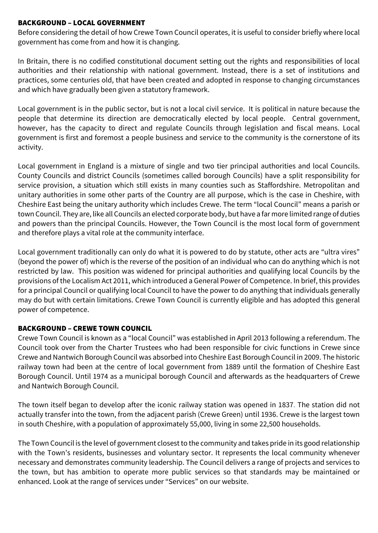#### BACKGROUND – LOCAL GOVERNMENT

Before considering the detail of how Crewe Town Council operates, it is useful to consider briefly where local government has come from and how it is changing.

In Britain, there is no codified constitutional document setting out the rights and responsibilities of local authorities and their relationship with national government. Instead, there is a set of institutions and practices, some centuries old, that have been created and adopted in response to changing circumstances and which have gradually been given a statutory framework.

Local government is in the public sector, but is not a local civil service. It is political in nature because the people that determine its direction are democratically elected by local people. Central government, however, has the capacity to direct and regulate Councils through legislation and fiscal means. Local government is first and foremost a people business and service to the community is the cornerstone of its activity.

Local government in England is a mixture of single and two tier principal authorities and local Councils. County Councils and district Councils (sometimes called borough Councils) have a split responsibility for service provision, a situation which still exists in many counties such as Staffordshire. Metropolitan and unitary authorities in some other parts of the Country are all purpose, which is the case in Cheshire, with Cheshire East being the unitary authority which includes Crewe. The term "local Council" means a parish or town Council. They are, like all Councils an elected corporate body, but have a far more limited range of duties and powers than the principal Councils. However, the Town Council is the most local form of government and therefore plays a vital role at the community interface.

Local government traditionally can only do what it is powered to do by statute, other acts are "ultra vires" (beyond the power of) which is the reverse of the position of an individual who can do anything which is not restricted by law. This position was widened for principal authorities and qualifying local Councils by the provisions of the Localism Act 2011, which introduced a General Power of Competence. In brief, this provides for a principal Council or qualifying local Council to have the power to do anything that individuals generally may do but with certain limitations. Crewe Town Council is currently eligible and has adopted this general power of competence.

# BACKGROUND – CREWE TOWN COUNCIL

Crewe Town Council is known as a "local Council" was established in April 2013 following a referendum. The Council took over from the Charter Trustees who had been responsible for civic functions in Crewe since Crewe and Nantwich Borough Council was absorbed into Cheshire East Borough Council in 2009. The historic railway town had been at the centre of local government from 1889 until the formation of Cheshire East Borough Council. Until 1974 as a municipal borough Council and afterwards as the headquarters of Crewe and Nantwich Borough Council.

The town itself began to develop after the iconic railway station was opened in 1837. The station did not actually transfer into the town, from the adjacent parish (Crewe Green) until 1936. Crewe is the largest town in south Cheshire, with a population of approximately 55,000, living in some 22,500 households.

The Town Council is the level of government closest to the community and takes pride in its good relationship with the Town's residents, businesses and voluntary sector. It represents the local community whenever necessary and demonstrates community leadership. The Council delivers a range of projects and services to the town, but has ambition to operate more public services so that standards may be maintained or enhanced. Look at the range of services under "Services" on our website.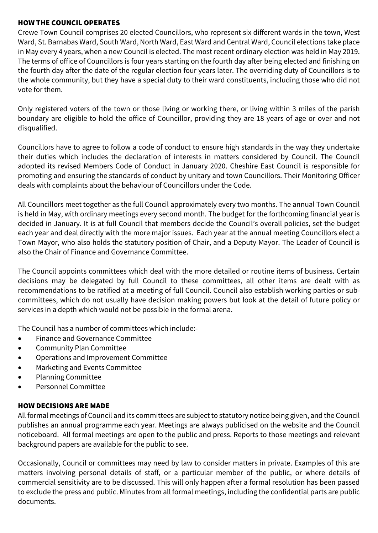#### HOW THE COUNCIL OPERATES

Crewe Town Council comprises 20 elected Councillors, who represent six different wards in the town, West Ward, St. Barnabas Ward, South Ward, North Ward, East Ward and Central Ward, Council elections take place in May every 4 years, when a new Council is elected. The most recent ordinary election was held in May 2019. The terms of office of Councillors is four years starting on the fourth day after being elected and finishing on the fourth day after the date of the regular election four years later. The overriding duty of Councillors is to the whole community, but they have a special duty to their ward constituents, including those who did not vote for them.

Only registered voters of the town or those living or working there, or living within 3 miles of the parish boundary are eligible to hold the office of Councillor, providing they are 18 years of age or over and not disqualified.

Councillors have to agree to follow a code of conduct to ensure high standards in the way they undertake their duties which includes the declaration of interests in matters considered by Council. The Council adopted its revised Members Code of Conduct in January 2020. Cheshire East Council is responsible for promoting and ensuring the standards of conduct by unitary and town Councillors. Their Monitoring Officer deals with complaints about the behaviour of Councillors under the Code.

All Councillors meet together as the full Council approximately every two months. The annual Town Council is held in May, with ordinary meetings every second month. The budget for the forthcoming financial year is decided in January. It is at full Council that members decide the Council's overall policies, set the budget each year and deal directly with the more major issues. Each year at the annual meeting Councillors elect a Town Mayor, who also holds the statutory position of Chair, and a Deputy Mayor. The Leader of Council is also the Chair of Finance and Governance Committee.

The Council appoints committees which deal with the more detailed or routine items of business. Certain decisions may be delegated by full Council to these committees, all other items are dealt with as recommendations to be ratified at a meeting of full Council. Council also establish working parties or subcommittees, which do not usually have decision making powers but look at the detail of future policy or services in a depth which would not be possible in the formal arena.

The Council has a number of committees which include:-

- [Finance and](http://www.biggleswadetowncouncil.gov.uk/Biggleswade-TC/UserFiles/Files/Finance%20General%20Purpose.pdf) Governance Committee
- Community Plan Committee
- Operations and Improvement Committee
- Marketing and Events Committee
- Planning Committee
- Personnel Committee

# HOW DECISIONS ARE MADE

All formal meetings of Council and its committees are subject to statutory notice being given, and the Council publishes an annual programme each year. Meetings are always publicised on the website and the Council noticeboard. All formal meetings are open to the public and press. Reports to those meetings and relevant background papers are available for the public to see.

Occasionally, Council or committees may need by law to consider matters in private. Examples of this are matters involving personal details of staff, or a particular member of the public, or where details of commercial sensitivity are to be discussed. This will only happen after a formal resolution has been passed to exclude the press and public. Minutes from all formal meetings, including the confidential parts are public documents.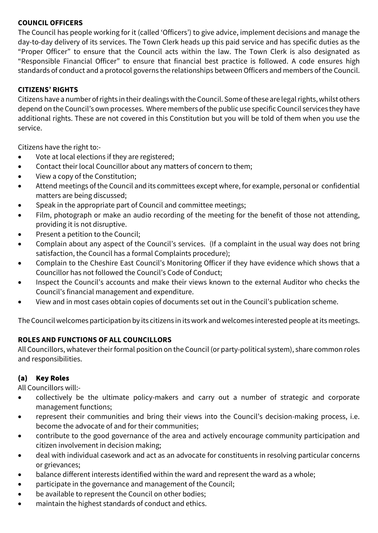# **COUNCIL OFFICERS**

The Council has people working for it (called 'Officers') to give advice, implement decisions and manage the day-to-day delivery of its services. The Town Clerk heads up this paid service and has specific duties as the "Proper Officer" to ensure that the Council acts within the law. The Town Clerk is also designated as "Responsible Financial Officer" to ensure that financial best practice is followed. A code ensures high standards of conduct and a protocol governs the relationships between Officers and members of the Council.

# **CITIZENS' RIGHTS**

Citizens have a number of rights in their dealings with the Council. Some of these are legal rights, whilst others depend on the Council's own processes. Where members of the public use specific Council services they have additional rights. These are not covered in this Constitution but you will be told of them when you use the service.

Citizens have the right to:-

- Vote at local elections if they are registered;
- Contact their local Councillor about any matters of concern to them;
- View a copy of the Constitution;
- Attend meetings of the Council and its committees except where, for example, personal or confidential matters are being discussed;
- Speak in the appropriate part of Council and committee meetings;
- Film, photograph or make an audio recording of the meeting for the benefit of those not attending, providing it is not disruptive.
- Present a petition to the Council;
- Complain about any aspect of the Council's services. (If a complaint in the usual way does not bring satisfaction, the Council has a formal Complaints procedure);
- Complain to the Cheshire East Council's Monitoring Officer if they have evidence which shows that a Councillor has not followed the Council's Code of Conduct;
- Inspect the Council's accounts and make their views known to the external Auditor who checks the Council's financial management and expenditure.
- View and in most cases obtain copies of documents set out in the Council's publication scheme.

The Council welcomes participation by its citizens in its work and welcomes interested people at its meetings.

# **ROLES AND FUNCTIONS OF ALL COUNCILLORS**

All Councillors, whatever their formal position on the Council (or party-political system), share common roles and responsibilities.

# (a) Key Roles

All Councillors will:-

- collectively be the ultimate policy-makers and carry out a number of strategic and corporate management functions;
- represent their communities and bring their views into the Council's decision-making process, i.e. become the advocate of and for their communities;
- contribute to the good governance of the area and actively encourage community participation and citizen involvement in decision making;
- deal with individual casework and act as an advocate for constituents in resolving particular concerns or grievances;
- balance different interests identified within the ward and represent the ward as a whole;
- participate in the governance and management of the Council;
- be available to represent the Council on other bodies;
- maintain the highest standards of conduct and ethics.